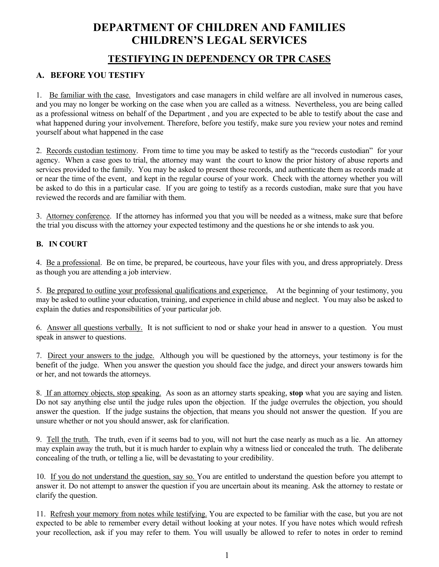## **DEPARTMENT OF CHILDREN AND FAMILIES CHILDREN'S LEGAL SERVICES**

## **TESTIFYING IN DEPENDENCY OR TPR CASES**

## **A. BEFORE YOU TESTIFY**

1. Be familiar with the case. Investigators and case managers in child welfare are all involved in numerous cases, and you may no longer be working on the case when you are called as a witness. Nevertheless, you are being called as a professional witness on behalf of the Department , and you are expected to be able to testify about the case and what happened during your involvement. Therefore, before you testify, make sure you review your notes and remind yourself about what happened in the case

2. Records custodian testimony. From time to time you may be asked to testify as the "records custodian" for your agency. When a case goes to trial, the attorney may want the court to know the prior history of abuse reports and services provided to the family. You may be asked to present those records, and authenticate them as records made at or near the time of the event, and kept in the regular course of your work. Check with the attorney whether you will be asked to do this in a particular case. If you are going to testify as a records custodian, make sure that you have reviewed the records and are familiar with them.

3. Attorney conference. If the attorney has informed you that you will be needed as a witness, make sure that before the trial you discuss with the attorney your expected testimony and the questions he or she intends to ask you.

## **B. IN COURT**

4. Be a professional. Be on time, be prepared, be courteous, have your files with you, and dress appropriately. Dress as though you are attending a job interview.

5. <u>Be prepared to outline your professional qualifications and experience.</u> At the beginning of your testimony, you may be asked to outline your education, training, and experience in child abuse and neglect. You may also be asked to explain the duties and responsibilities of your particular job.

6. Answer all questions verbally. It is not sufficient to nod or shake your head in answer to a question. You must speak in answer to questions.

7. Direct your answers to the judge. Although you will be questioned by the attorneys, your testimony is for the benefit of the judge. When you answer the question you should face the judge, and direct your answers towards him or her, and not towards the attorneys.

8. If an attorney objects, stop speaking. As soon as an attorney starts speaking, **stop** what you are saying and listen. Do not say anything else until the judge rules upon the objection. If the judge overrules the objection, you should answer the question. If the judge sustains the objection, that means you should not answer the question. If you are unsure whether or not you should answer, ask for clarification.

9. Tell the truth. The truth, even if it seems bad to you, will not hurt the case nearly as much as a lie. An attorney may explain away the truth, but it is much harder to explain why a witness lied or concealed the truth. The deliberate concealing of the truth, or telling a lie, will be devastating to your credibility.

10. If you do not understand the question, say so. You are entitled to understand the question before you attempt to answer it. Do not attempt to answer the question if you are uncertain about its meaning. Ask the attorney to restate or clarify the question.

11. Refresh your memory from notes while testifying. You are expected to be familiar with the case, but you are not expected to be able to remember every detail without looking at your notes. If you have notes which would refresh your recollection, ask if you may refer to them. You will usually be allowed to refer to notes in order to remind